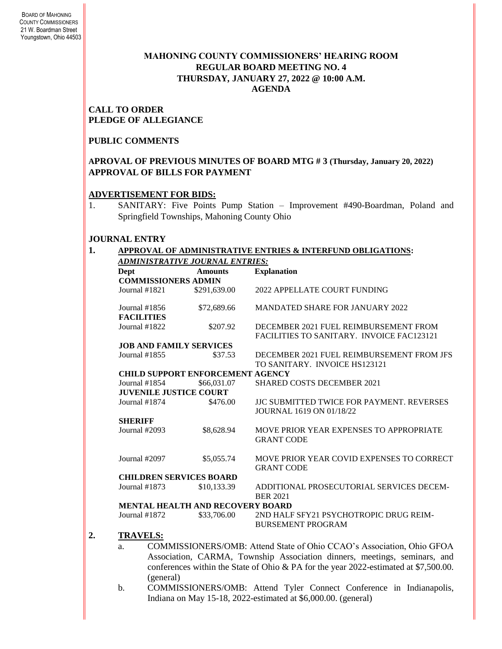## **MAHONING COUNTY COMMISSIONERS' HEARING ROOM REGULAR BOARD MEETING NO. 4 THURSDAY***,* **JANUARY 27, 2022 @ 10:00 A.M. AGENDA**

#### **CALL TO ORDER PLEDGE OF ALLEGIANCE**

## **PUBLIC COMMENTS**

## **APROVAL OF PREVIOUS MINUTES OF BOARD MTG # 3 (Thursday, January 20, 2022) APPROVAL OF BILLS FOR PAYMENT**

#### **ADVERTISEMENT FOR BIDS:**

1. SANITARY: Five Points Pump Station – Improvement #490-Boardman, Poland and Springfield Townships, Mahoning County Ohio

## **JOURNAL ENTRY**

#### **1. APPROVAL OF ADMINISTRATIVE ENTRIES & INTERFUND OBLIGATIONS:**  *ADMINISTRATIVE JOURNAL ENTRIES:*

| <b>COMMISSIONERS ADMIN</b><br>Journal $#1821$ |              |                                                                                                                                               |
|-----------------------------------------------|--------------|-----------------------------------------------------------------------------------------------------------------------------------------------|
|                                               |              |                                                                                                                                               |
|                                               | \$291,639.00 | 2022 APPELLATE COURT FUNDING                                                                                                                  |
| Journal $#1856$                               | \$72,689.66  | <b>MANDATED SHARE FOR JANUARY 2022</b>                                                                                                        |
| <b>FACILITIES</b>                             |              |                                                                                                                                               |
| Journal #1822                                 | \$207.92     | DECEMBER 2021 FUEL REIMBURSEMENT FROM                                                                                                         |
|                                               |              | FACILITIES TO SANITARY. INVOICE FAC123121                                                                                                     |
| <b>JOB AND FAMILY SERVICES</b>                |              |                                                                                                                                               |
| Journal #1855                                 | \$37.53      | DECEMBER 2021 FUEL REIMBURSEMENT FROM JFS                                                                                                     |
|                                               |              | TO SANITARY. INVOICE HS123121                                                                                                                 |
| <b>CHILD SUPPORT ENFORCEMENT AGENCY</b>       |              |                                                                                                                                               |
| Journal $#1854$                               | \$66,031.07  | <b>SHARED COSTS DECEMBER 2021</b>                                                                                                             |
| <b>JUVENILE JUSTICE COURT</b>                 |              |                                                                                                                                               |
| Journal #1874                                 | \$476.00     | <b>JJC SUBMITTED TWICE FOR PAYMENT, REVERSES</b>                                                                                              |
|                                               |              | <b>JOURNAL 1619 ON 01/18/22</b>                                                                                                               |
| <b>SHERIFF</b>                                |              |                                                                                                                                               |
| Journal #2093                                 | \$8,628.94   | MOVE PRIOR YEAR EXPENSES TO APPROPRIATE                                                                                                       |
|                                               |              | <b>GRANT CODE</b>                                                                                                                             |
|                                               |              |                                                                                                                                               |
| Journal #2097                                 | \$5,055.74   | MOVE PRIOR YEAR COVID EXPENSES TO CORRECT                                                                                                     |
|                                               |              | <b>GRANT CODE</b>                                                                                                                             |
| <b>CHILDREN SERVICES BOARD</b>                |              |                                                                                                                                               |
| Journal #1873                                 | \$10,133.39  | ADDITIONAL PROSECUTORIAL SERVICES DECEM-                                                                                                      |
|                                               |              | <b>BER 2021</b>                                                                                                                               |
| <b>MENTAL HEALTH AND RECOVERY BOARD</b>       |              |                                                                                                                                               |
| Journal #1872                                 | \$33,706.00  | 2ND HALF SFY21 PSYCHOTROPIC DRUG REIM-                                                                                                        |
|                                               |              | <b>BURSEMENT PROGRAM</b>                                                                                                                      |
| <b>TRAVELS:</b>                               |              |                                                                                                                                               |
|                                               |              |                                                                                                                                               |
| a.                                            |              | COMMISSIONERS/OMB: Attend State of Ohio CCAO's Association, Ohio GFOA<br>Association CARMA Township Association dinners meetings seminars and |

- Association, CARMA, Township Association dinners, meetings, seminars, and conferences within the State of Ohio & PA for the year 2022-estimated at \$7,500.00. (general)
- b. COMMISSIONERS/OMB: Attend Tyler Connect Conference in Indianapolis, Indiana on May 15-18, 2022-estimated at \$6,000.00. (general)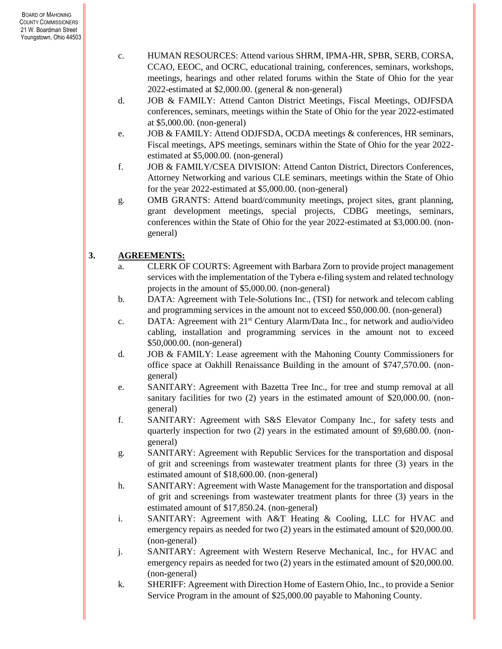- c. HUMAN RESOURCES: Attend various SHRM, IPMA-HR, SPBR, SERB, CORSA, CCAO, EEOC, and OCRC, educational training, conferences, seminars, workshops, meetings, hearings and other related forums within the State of Ohio for the year 2022-estimated at \$2,000.00. (general & non-general)
- d. JOB & FAMILY: Attend Canton District Meetings, Fiscal Meetings, ODJFSDA conferences, seminars, meetings within the State of Ohio for the year 2022-estimated at \$5,000.00. (non-general)
- e. JOB & FAMILY: Attend ODJFSDA, OCDA meetings & conferences, HR seminars, Fiscal meetings, APS meetings, seminars within the State of Ohio for the year 2022 estimated at \$5,000.00. (non-general)
- f. JOB & FAMILY/CSEA DIVISION: Attend Canton District, Directors Conferences, Attorney Networking and various CLE seminars, meetings within the State of Ohio for the year 2022-estimated at \$5,000.00. (non-general)
- g. OMB GRANTS: Attend board/community meetings, project sites, grant planning, grant development meetings, special projects, CDBG meetings, seminars, conferences within the State of Ohio for the year 2022-estimated at \$3,000.00. (nongeneral)

# **3. AGREEMENTS:**

- a. CLERK OF COURTS: Agreement with Barbara Zorn to provide project management services with the implementation of the Tybera e-filing system and related technology projects in the amount of \$5,000.00. (non-general)
- b. DATA: Agreement with Tele-Solutions Inc., (TSI) for network and telecom cabling and programming services in the amount not to exceed \$50,000.00. (non-general)
- c. DATA: Agreement with 21st Century Alarm/Data Inc., for network and audio/video cabling, installation and programming services in the amount not to exceed \$50,000.00. (non-general)
- d. JOB & FAMILY: Lease agreement with the Mahoning County Commissioners for office space at Oakhill Renaissance Building in the amount of \$747,570.00. (nongeneral)
- e. SANITARY: Agreement with Bazetta Tree Inc., for tree and stump removal at all sanitary facilities for two (2) years in the estimated amount of \$20,000.00. (nongeneral)
- f. SANITARY: Agreement with S&S Elevator Company Inc., for safety tests and quarterly inspection for two (2) years in the estimated amount of \$9,680.00. (nongeneral)
- g. SANITARY: Agreement with Republic Services for the transportation and disposal of grit and screenings from wastewater treatment plants for three (3) years in the estimated amount of \$18,600.00. (non-general)
- h. SANITARY: Agreement with Waste Management for the transportation and disposal of grit and screenings from wastewater treatment plants for three (3) years in the estimated amount of \$17,850.24. (non-general)
- i. SANITARY: Agreement with A&T Heating & Cooling, LLC for HVAC and emergency repairs as needed for two (2) years in the estimated amount of \$20,000.00. (non-general)
- j. SANITARY: Agreement with Western Reserve Mechanical, Inc., for HVAC and emergency repairs as needed for two  $(2)$  years in the estimated amount of \$20,000.00. (non-general)
- k. SHERIFF: Agreement with Direction Home of Eastern Ohio, Inc., to provide a Senior Service Program in the amount of \$25,000.00 payable to Mahoning County.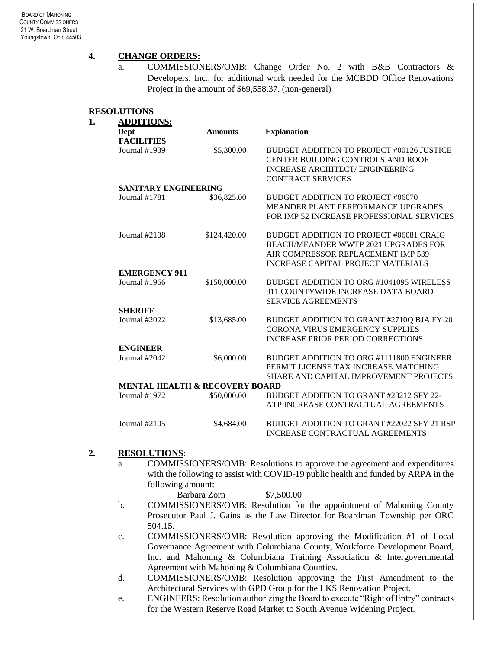## **4. CHANGE ORDERS:**

a. COMMISSIONERS/OMB: Change Order No. 2 with B&B Contractors & Developers, Inc., for additional work needed for the MCBDD Office Renovations Project in the amount of \$69,558.37. (non-general)

## **RESOLUTIONS**

| 1. | <b>ADDITIONS:</b>                         |                |                                                                                                                                                                           |  |
|----|-------------------------------------------|----------------|---------------------------------------------------------------------------------------------------------------------------------------------------------------------------|--|
|    | Dept                                      | <b>Amounts</b> | <b>Explanation</b>                                                                                                                                                        |  |
|    | <b>FACILITIES</b>                         |                |                                                                                                                                                                           |  |
|    | Journal #1939                             | \$5,300.00     | BUDGET ADDITION TO PROJECT #00126 JUSTICE<br>CENTER BUILDING CONTROLS AND ROOF<br><b>INCREASE ARCHITECT/ENGINEERING</b><br><b>CONTRACT SERVICES</b>                       |  |
|    | <b>SANITARY ENGINEERING</b>               |                |                                                                                                                                                                           |  |
|    | Journal #1781                             | \$36,825.00    | BUDGET ADDITION TO PROJECT #06070<br>MEANDER PLANT PERFORMANCE UPGRADES<br>FOR IMP 52 INCREASE PROFESSIONAL SERVICES                                                      |  |
|    | Journal $#2108$                           | \$124,420.00   | BUDGET ADDITION TO PROJECT #06081 CRAIG<br><b>BEACH/MEANDER WWTP 2021 UPGRADES FOR</b><br>AIR COMPRESSOR REPLACEMENT IMP 539<br><b>INCREASE CAPITAL PROJECT MATERIALS</b> |  |
|    | <b>EMERGENCY 911</b>                      |                |                                                                                                                                                                           |  |
|    | Journal #1966                             | \$150,000.00   | BUDGET ADDITION TO ORG #1041095 WIRELESS<br>911 COUNTYWIDE INCREASE DATA BOARD<br><b>SERVICE AGREEMENTS</b>                                                               |  |
|    | <b>SHERIFF</b>                            |                |                                                                                                                                                                           |  |
|    | Journal #2022                             | \$13,685.00    | BUDGET ADDITION TO GRANT #2710Q BJA FY 20<br>CORONA VIRUS EMERGENCY SUPPLIES<br><b>INCREASE PRIOR PERIOD CORRECTIONS</b>                                                  |  |
|    | <b>ENGINEER</b>                           |                |                                                                                                                                                                           |  |
|    | Journal #2042                             | \$6,000.00     | BUDGET ADDITION TO ORG #1111800 ENGINEER<br>PERMIT LICENSE TAX INCREASE MATCHING<br>SHARE AND CAPITAL IMPROVEMENT PROJECTS                                                |  |
|    | <b>MENTAL HEALTH &amp; RECOVERY BOARD</b> |                |                                                                                                                                                                           |  |
|    | Journal #1972                             | \$50,000.00    | BUDGET ADDITION TO GRANT #28212 SFY 22-<br>ATP INCREASE CONTRACTUAL AGREEMENTS                                                                                            |  |
|    | Journal $#2105$                           | \$4,684.00     | BUDGET ADDITION TO GRANT #22022 SFY 21 RSP<br><b>INCREASE CONTRACTUAL AGREEMENTS</b>                                                                                      |  |

### **2. RESOLUTIONS**:

a. COMMISSIONERS/OMB: Resolutions to approve the agreement and expenditures with the following to assist with COVID-19 public health and funded by ARPA in the following amount:

Barbara Zorn \$7,500.00

- b. COMMISSIONERS/OMB: Resolution for the appointment of Mahoning County Prosecutor Paul J. Gains as the Law Director for Boardman Township per ORC 504.15.
- c. COMMISSIONERS/OMB: Resolution approving the Modification #1 of Local Governance Agreement with Columbiana County, Workforce Development Board, Inc. and Mahoning & Columbiana Training Association & Intergovernmental Agreement with Mahoning & Columbiana Counties.
- d. COMMISSIONERS/OMB: Resolution approving the First Amendment to the Architectural Services with GPD Group for the LKS Renovation Project.
- e. ENGINEERS: Resolution authorizing the Board to execute "Right of Entry" contracts for the Western Reserve Road Market to South Avenue Widening Project.